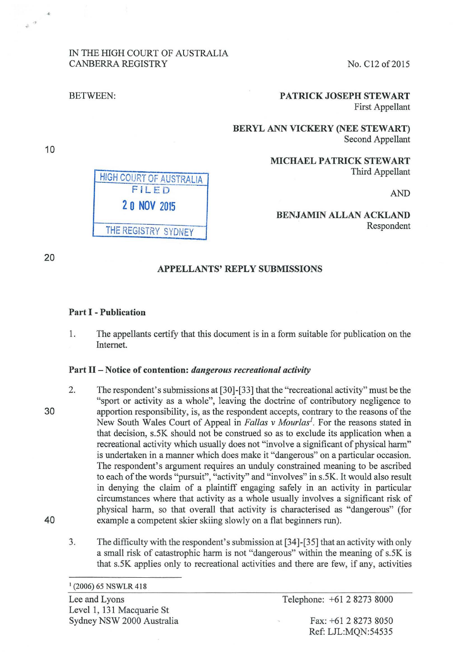## IN THE HIGH COURT OF AUSTRALIA CANBERRA REGISTRY No. C12 of 2015

HIGH COURT OF AUSTRALIA FiLEr)

**2 0 NOV** <sup>2015</sup>

## BETWEEN: PATRICK JOSEPH STEWART First Appellant

BERYL ANN VICKERY (NEE STEWART) Second Appellant

> MICHAEL PATRICK STEWART Third Appellant

> > AND

## BENJAMIN ALLAN ACKLAND Respondent

THE REGISTRY SYDNEY

# APPELLANTS' REPLY SUBMISSIONS

## Part I - Publication

1. The appellants certify that this document is in a form suitable for publication on the Internet.

## Part II- Notice of contention: *dangerous recreational activity*

- 2. The respondent's submissions at [30]-[33] that the "recreational activity" must be the "sport or activity as a whole", leaving the doctrine of contributory negligence to apportion responsibility, is, as the respondent accepts, contrary to the reasons of the New South Wales Court of Appeal in *Fallas v Mourlas<sup>1</sup>*. For the reasons stated in that decision, s.5K should not be construed so as to exclude its application when a recreational activity which usually does not "involve a significant of physical harm" is undertaken in a manner which does make it "dangerous" on a particular occasion. The respondent's argument requires an unduly constrained meaning to be ascribed to each of the words "pursuit", "activity" and "involves" in s.SK. It would also result in denying the claim of a plaintiff engaging safely in an activity in particular circumstances where that activity as a whole usually involves a significant risk of physical harm, so that overall that activity is characterised as "dangerous" (for example a competent skier skiing slowly on a flat beginners run).
	- 3. The difficulty with the respondent's submission at [34]-[35] that an activity with only a small risk of catastrophic harm is not "dangerous" within the meaning of s.5K is that s.SK applies only to recreational activities and there are few, if any, activities

Lee and Lyons Level 1, 131 Macquarie St Sydney NSW 2000 Australia Telephone: +61 2 8273 8000

Fax: +61 2 8273 8050 Ref: LJL:MQN:54535

30

40

10

 $\phi$   $^{-1}$ 

20

 $1$  (2006) 65 NSWLR 418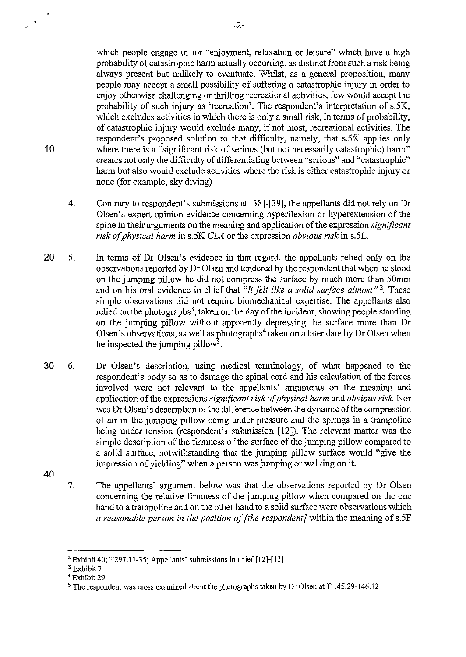which people engage in for "enjoyment, relaxation or leisure" which have a high probability of catastrophic harm actually occurring, as distinct from such a risk being always present but unlikely to eventuate. Whilst, as a general proposition, many people may accept a small possibility of suffering a catastrophic injury in order to enjoy otherwise challenging or thrilling recreational activities, few would accept the probability of such injury as 'recreation'. The respondent's interpretation of s.5K, which excludes activities in which there is only a small risk, in terms of probability, of catastrophic injury would exclude many, if not most, recreational activities. The respondent's proposed solution to that difficulty, namely, that s.5K applies only where there is a "significant risk of serious (but not necessarily catastrophic) harm" creates not only the difficulty of differentiating between "serious" and "catastrophic" harm but also would exclude activities where the risk is either catastrophic injury or none (for example, sky diving).

- 4. Contrary to respondent's submissions at [38]-[39], the appellants did not rely on Dr Olsen's expert opinion evidence concerning hyperflexion or hyperextension of the spine in their arguments on the meaning and application of the expression *significant risk of physical harm* in s.5K *CLA* or the expression *obvious risk* in s.5L.
- 20 5. In terms of Dr Olsen's evidence in that regard, the appellants relied only on the observations reported by Dr Olsen and tendered by the respondent that when he stood on the jumping pillow he did not compress the surface by much more than 50mm and on his oral evidence in chief that *"It felt like a solid surface almost"* 2 These simple observations did not require biomechanical expertise. The appellants also relied on the photographs<sup>3</sup>, taken on the day of the incident, showing people standing on the jumping pillow without apparently depressing the surface more than Dr Olsen's observations, as well as photographs<sup>4</sup> taken on a later date by Dr Olsen when he inspected the jumping pillow<sup>5</sup>.
- 30 6. Dr Olsen's description, using medical terminology, of what happened to the respondent's body so as to damage the spinal cord and his calculation of the forces involved were not relevant to the appellants' arguments on the meaning and application of the expressions *significant risk of physical harm* and *obvious risk.* Nor was Dr Olsen's description of the difference between the dynamic of the compression of air in the jumping pillow being under pressure and the springs in a trampoline being under tension (respondent's submission [12]). The relevant matter was the simple description of the firmness of the surface of the jumping pillow compared to a solid surface, notwithstanding that the jumping pillow surface would "give the impression of yielding" when a person was jumping or walking on it.
- 40

10

 $\overline{1}$ 

7. The appellants' argument below was that the observations reported by Dr Olsen concerning the relative firmness of the jumping pillow when compared on the one hand to a trampoline and on the other hand to a solid surface were observations which *a reasonable person in the position of [the respondent]* within the meaning of s.5F

<sup>2</sup> Exhibit 40; T297.11-35; Appellants' submissions in chief [12]-[13]

<sup>3</sup> Exhibit 7

<sup>4</sup> Exhibit29

<sup>5</sup> The respondent was cross examined about the photographs taken by Dr Olsen at T 145.29-146.12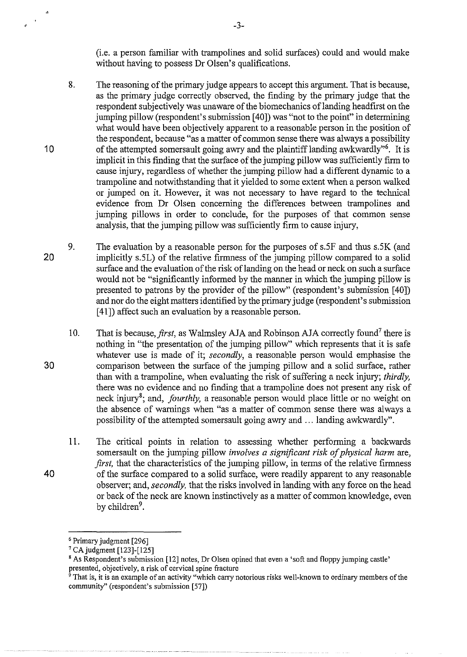(i.e. a person familiar with trampolines and solid surfaces) could and would make without having to possess Dr Olsen's qualifications.

- 8. The reasoning of the primary judge appears to accept this argument. That is because, as the primary judge correctly observed, the finding by the primary judge that the respondent subjectively was unaware of the biomechanics oflanding headfirst on the jumping pillow (respondent's submission [ 40]) was "not to the point" in determining what would have been objectively apparent to a reasonable person in the position of the respondent, because "as a matter of common sense there was always a possibility of the attempted somersault going awry and the plaintiff landing awkwardly"6. It is implicit in this finding that the surface of the jumping pillow was sufficiently firm to cause injury, regardless of whether the jumping pillow had a different dynamic to a trampoline and notwithstanding that it yielded to some extent when a person walked or jumped on it. However, it was not necessary to have regard to the technical evidence from Dr Olsen concerning the differences between trampolines and jumping pillows in order to conclude, for the purposes of that common sense analysis, that the jumping pillow was sufficiently firm to cause injury,
- 20 9. The evaluation by a reasonable person for the purposes of s.5F and thus s.5K (and implicitly s.5L) of the relative firmness of the jumping pillow compared to a solid surface and the evaluation of the risk of landing on the head or neck on such a surface would not be "significantly informed by the manner in which the jumping pillow is presented to patrons by the provider of the pillow" (respondent's submission [40]) and nor do the eight matters identified by the primary judge (respondent's submission [ 41]) affect such an evaluation by a reasonable person.
	- 10. That is because, *first*, as Walmsley AJA and Robinson AJA correctly found<sup>7</sup> there is nothing in "the presentation of the jumping pillow" which represents that it is safe whatever use is made of it; *secondly,* a reasonable person would emphasise the comparison between the surface of the jumping pillow and a solid surface, rather than with a trampoline, when evaluating the risk of suffering a neck injury; *thirdly,*  there was no evidence and no fmding that a trampoline does not present any risk of neck injury<sup>8</sup>; and, *fourthly*, a reasonable person would place little or no weight on the absence of warnings when "as a matter of common sense there was always a possibility of the attempted somersault going awry and ... landing awkwardly".
	- 11. The critical points in relation to assessing whether performing a backwards somersault on the jumping pillow *involves a significant risk of physical harm* are, *first*, that the characteristics of the jumping pillow, in terms of the relative firmness of the surface compared to a solid surface, were readily apparent to any reasonable observer; and, *secondly,* that the risks involved in landing with any force on the head or back of the neck are known instinctively as a matter of common knowledge, even by children<sup>9</sup>.

-3-

10

 $\bar{\alpha}$ 

30

40

<sup>&</sup>lt;sup>6</sup> Primary judgment  $[296]$ <sup>7</sup> CA judgment  $[123]$ - $[125]$ 

<sup>&</sup>lt;sup>8</sup> As Respondent's submission [12] notes, Dr Olsen opined that even a 'soft and floppy jumping castle' presented, objectively, a risk of cervical spine fracture

presented, or  $\frac{1}{2}$  risk of cervical spin-ture in  $\frac{1}{2}$  and  $\frac{1}{2}$  arrive which carry notorious risks well-known to ordinary members of the community" (respondent's submission [57])